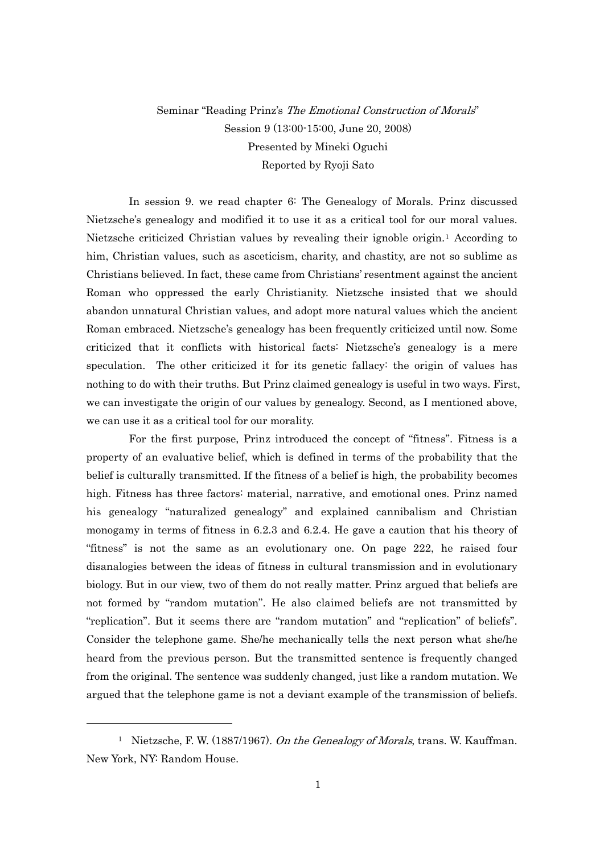## Seminar "Reading Prinz's The Emotional Construction of Morals" Session 9 (13:00-15:00, June 20, 2008) Presented by Mineki Oguchi Reported by Ryoji Sato

In session 9. we read chapter 6: The Genealogy of Morals. Prinz discussed Nietzsche's genealogy and modified it to use it as a critical tool for our moral values. Nietzsche criticized Christian values by revealing their ignoble origin.[1](#page-0-0) According to him, Christian values, such as asceticism, charity, and chastity, are not so sublime as Christians believed. In fact, these came from Christians' resentment against the ancient Roman who oppressed the early Christianity. Nietzsche insisted that we should abandon unnatural Christian values, and adopt more natural values which the ancient Roman embraced. Nietzsche's genealogy has been frequently criticized until now. Some criticized that it conflicts with historical facts: Nietzsche's genealogy is a mere speculation. The other criticized it for its genetic fallacy: the origin of values has nothing to do with their truths. But Prinz claimed genealogy is useful in two ways. First, we can investigate the origin of our values by genealogy. Second, as I mentioned above, we can use it as a critical tool for our morality.

For the first purpose, Prinz introduced the concept of "fitness". Fitness is a property of an evaluative belief, which is defined in terms of the probability that the belief is culturally transmitted. If the fitness of a belief is high, the probability becomes high. Fitness has three factors: material, narrative, and emotional ones. Prinz named his genealogy "naturalized genealogy" and explained cannibalism and Christian monogamy in terms of fitness in 6.2.3 and 6.2.4. He gave a caution that his theory of "fitness" is not the same as an evolutionary one. On page 222, he raised four disanalogies between the ideas of fitness in cultural transmission and in evolutionary biology. But in our view, two of them do not really matter. Prinz argued that beliefs are not formed by "random mutation". He also claimed beliefs are not transmitted by "replication". But it seems there are "random mutation" and "replication" of beliefs". Consider the telephone game. She/he mechanically tells the next person what she/he heard from the previous person. But the transmitted sentence is frequently changed from the original. The sentence was suddenly changed, just like a random mutation. We argued that the telephone game is not a deviant example of the transmission of beliefs.

-

<span id="page-0-0"></span><sup>&</sup>lt;sup>1</sup> Nietzsche, F. W. (1887/1967). On the Genealogy of Morals, trans. W. Kauffman. New York, NY: Random House.